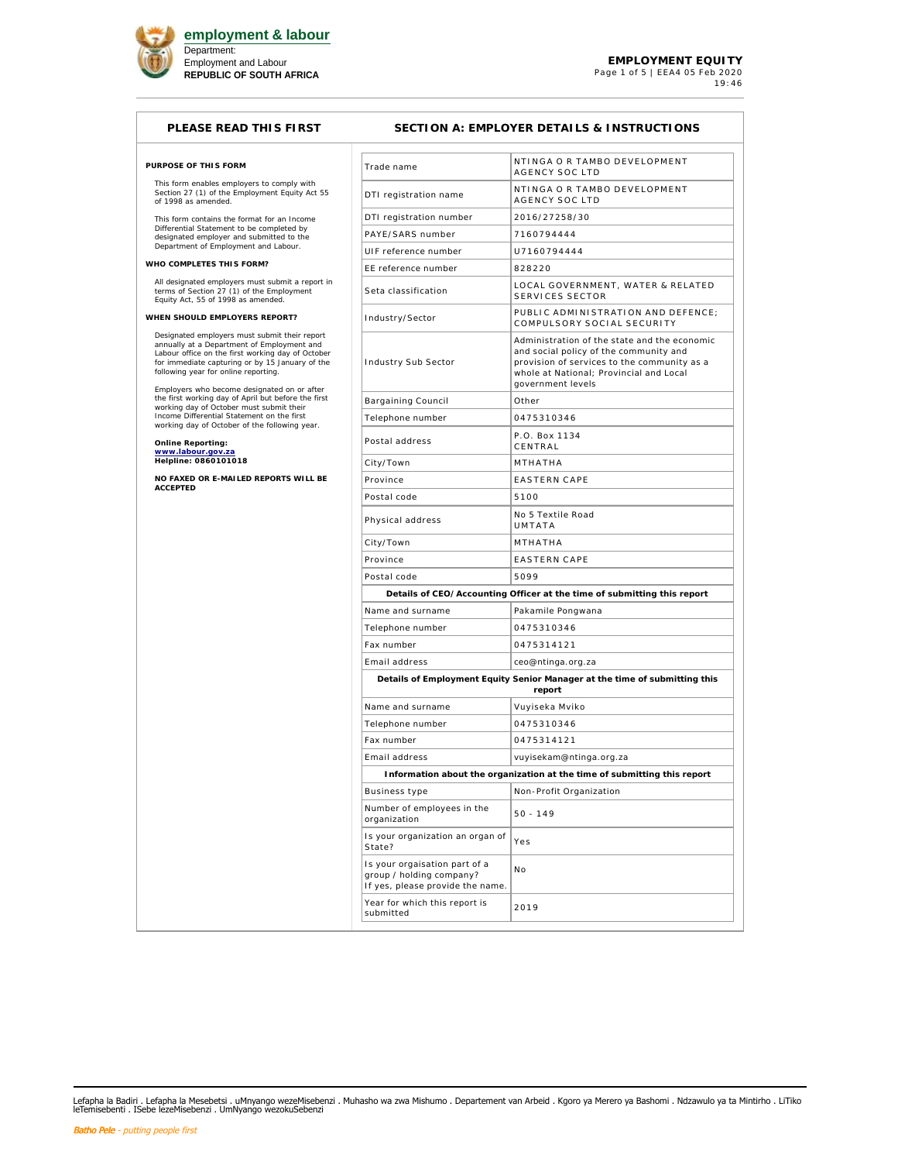

## **PLEASE READ THIS FIRST SECTION A: EMPLOYER DETAILS & INSTRUCTIONS**

| PURPOSE OF THIS FORM |  |  |
|----------------------|--|--|

This form enables employers to comply with Section 27 (1) of the Employment Equity Act 55 of 1998 as amended.

This form contains the format for an Income Differential Statement to be completed by designated employer and submitted to the Department of Employment and Labour.

**WHO COMPLETES THIS FORM?**

All designated employers must submit a report in terms of Section 27 (1) of the Employment Equity Act, 55 of 1998 as amended.

**WHEN SHOULD EMPLOYERS REPORT?**

Designated employers must submit their report<br>annually at a Department of Employment and<br>Labour office on the first working day of October<br>for immediate capturing or by 15 January of the<br>following year for online reporting

Employers who become designated on or after<br>the first working day of April but before the first<br>working day of October must submit their<br>Income Differential Statement on the first<br>working day of October of the following ye

**Online Reporting: www.labour.gov.za Helpline: 0860101018** 

**NO FAXED OR E-MAILED REPORTS WILL BE ACCEPTED**

| Trade name                                                                                    | NTINGA O R TAMBO DEVELOPMENT<br>AGENCY SOC LTD                                                                                                                                                        |
|-----------------------------------------------------------------------------------------------|-------------------------------------------------------------------------------------------------------------------------------------------------------------------------------------------------------|
| DTI registration name                                                                         | NTINGA O R TAMBO DEVELOPMENT<br><b>AGENCY SOC LTD</b>                                                                                                                                                 |
| DTI registration number                                                                       | 2016/27258/30                                                                                                                                                                                         |
| PAYE/SARS number                                                                              | 7160794444                                                                                                                                                                                            |
| UIF reference number                                                                          | U7160794444                                                                                                                                                                                           |
| EE reference number                                                                           | 828220                                                                                                                                                                                                |
| Seta classification                                                                           | LOCAL GOVERNMENT, WATER & RELATED<br><b>SERVICES SECTOR</b>                                                                                                                                           |
| Industry/Sector                                                                               | PUBLIC ADMINISTRATION AND DEFENCE;<br>COMPULSORY SOCIAL SECURITY                                                                                                                                      |
| Industry Sub Sector                                                                           | Administration of the state and the economic<br>and social policy of the community and<br>provision of services to the community as a<br>whole at National; Provincial and Local<br>government levels |
| Bargaining Council                                                                            | Other                                                                                                                                                                                                 |
| Telephone number                                                                              | 0475310346                                                                                                                                                                                            |
| Postal address                                                                                | P.O. Box 1134<br>CENTRAL                                                                                                                                                                              |
| City/Town                                                                                     | MTHATHA                                                                                                                                                                                               |
| Province                                                                                      | <b>EASTERN CAPE</b>                                                                                                                                                                                   |
| Postal code                                                                                   | 5100                                                                                                                                                                                                  |
| Physical address                                                                              | No 5 Textile Road<br>UMTATA                                                                                                                                                                           |
| City/Town                                                                                     | MTHATHA                                                                                                                                                                                               |
| Province                                                                                      | <b>EASTERN CAPE</b>                                                                                                                                                                                   |
| Postal code                                                                                   | 5099                                                                                                                                                                                                  |
|                                                                                               | Details of CEO/Accounting Officer at the time of submitting this report                                                                                                                               |
| Name and surname                                                                              | Pakamile Pongwana                                                                                                                                                                                     |
| Telephone number                                                                              | 0475310346                                                                                                                                                                                            |
| Fax number                                                                                    | 0475314121                                                                                                                                                                                            |
| Email address                                                                                 | ceo@ntinga.org.za                                                                                                                                                                                     |
|                                                                                               | Details of Employment Equity Senior Manager at the time of submitting this<br>report                                                                                                                  |
| Name and surname                                                                              | Vuyiseka Mviko                                                                                                                                                                                        |
| Telephone number                                                                              | 0475310346                                                                                                                                                                                            |
| Fax number                                                                                    | 0475314121                                                                                                                                                                                            |
| Email address                                                                                 | vuyisekam@ntinga.org.za                                                                                                                                                                               |
|                                                                                               | Information about the organization at the time of submitting this report                                                                                                                              |
| <b>Business type</b>                                                                          | Non-Profit Organization                                                                                                                                                                               |
| Number of employees in the<br>organization                                                    | $50 - 149$                                                                                                                                                                                            |
| Is your organization an organ of<br>State?                                                    | Yes                                                                                                                                                                                                   |
| Is your orgaisation part of a<br>group / holding company?<br>If yes, please provide the name. | Νo                                                                                                                                                                                                    |
| Year for which this report is<br>submitted                                                    | 2019                                                                                                                                                                                                  |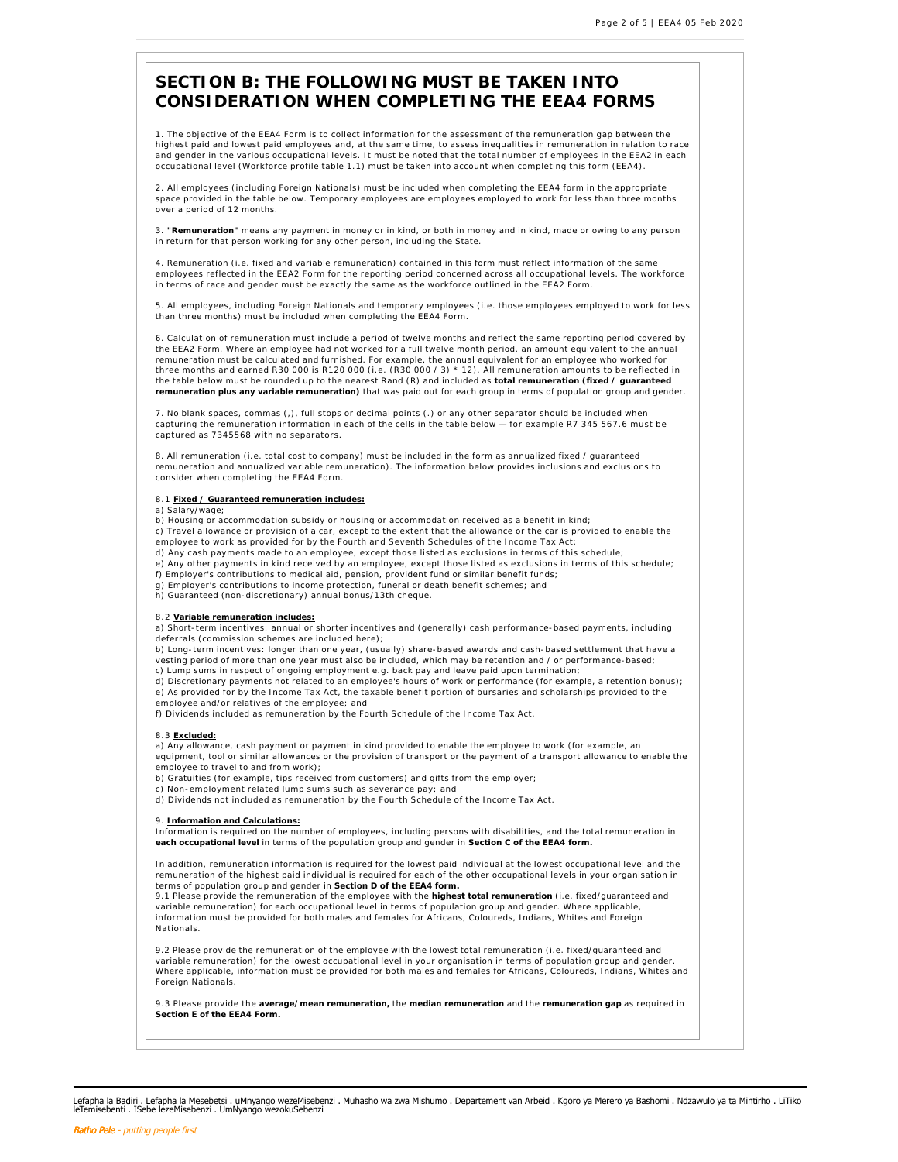# **SECTION B: THE FOLLOWING MUST BE TAKEN INTO CONSIDERATION WHEN COMPLETING THE EEA4 FORMS**

1. The objective of the EEA4 Form is to collect information for the assessment of the remuneration gap between the highest paid and lowest paid employees and, at the same time, to assess inequalities in remuneration in relation to race and gender in the various occupational levels. It must be noted that the total number of employees in the EEA2 in each occupational level (Workforce profile table 1.1) must be taken into account when completing this form (EEA4).

2. All employees (including Foreign Nationals) must be included when completing the EEA4 form in the appropriate space provided in the table below. Temporary employees are employees employed to work for less than three months over a period of 12 months.

3. **"Remuneration"** means any payment in money or in kind, or both in money and in kind, made or owing to any person in return for that person working for any other person, including the State.

4. Remuneration (i.e. fixed and variable remuneration) contained in this form must reflect information of the same employees reflected in the EEA2 Form for the reporting period concerned across all occupational levels. The workforce in terms of race and gender must be exactly the same as the workforce outlined in the EEA2 Form.

5. All employees, including Foreign Nationals and temporary employees (i.e. those employees employed to work for less than three months) must be included when completing the EEA4 Form.

6. Calculation of remuneration must include a period of twelve months and reflect the same reporting period covered by the EEA2 Form. Where an employee had not worked for a full twelve month period, an amount equivalent to the annual remuneration must be calculated and furnished. For example, the annual equivalent for an employee who worked for<br>three months and earned R30 000 is R120 000 (i.e. (R30 000 / 3) \* 12). All remuneration amounts to be reflect the table below must be rounded up to the nearest Rand (R) and included as **total remuneration (fixed / guaranteed remuneration plus any variable remuneration)** that was paid out for each group in terms of population group and gender.

7. No blank spaces, commas (,), full stops or decimal points (.) or any other separator should be included when capturing the remuneration information in each of the cells in the table below — for example R7 345 567.6 must be captured as 7345568 with no separators.

8. All remuneration (i.e. total cost to company) must be included in the form as annualized fixed / guaranteed remuneration and annualized variable remuneration). The information below provides inclusions and exclusions to consider when completing the EEA4 Form.

### 8.1 **Fixed / Guaranteed remuneration includes:**

a) Salary/wage;

b) Housing or accommodation subsidy or housing or accommodation received as a benefit in kind;

c) Travel allowance or provision of a car, except to the extent that the allowance or the car is provided to enable the employee to work as provided for by the Fourth and Seventh Schedules of the Income Tax Act;

- d) Any cash payments made to an employee, except those listed as exclusions in terms of this schedule;
- e) Any other payments in kind received by an employee, except those listed as exclusions in terms of this schedule;
- f) Employer's contributions to medical aid, pension, provident fund or similar benefit funds; g) Employer's contributions to income protection, funeral or death benefit schemes; and

h) Guaranteed (non-discretionary) annual bonus/13th cheque.

8.2 **Variable remuneration includes:** a) Short-term incentives: annual or shorter incentives and (generally) cash performance-based payments, including deferrals (commission schemes are included here);

b) Long-term incentives: longer than one year, (usually) share-based awards and cash-based settlement that have a vesting period of more than one year must also be included, which may be retention and / or performance-based; c) Lump sums in respect of ongoing employment e.g. back pay and leave paid upon termination;

d) Discretionary payments not related to an employee's hours of work or performance (for example, a retention bonus);

e) As provided for by the Income Tax Act, the taxable benefit portion of bursaries and scholarships provided to the

- 
- employee and/or relatives of the employee; and f) Dividends included as remuneration by the Fourth Schedule of the Income Tax Act.

### 8.3 **Excluded:**

a) Any allowance, cash payment or payment in kind provided to enable the employee to work (for example, an equipment, tool or similar allowances or the provision of transport or the payment of a transport allowance to enable the employee to travel to and from work);

- b) Gratuities (for example, tips received from customers) and gifts from the employer;
- 
- c) Non-employment related lump sums such as severance pay; and d) Dividends not included as remuneration by the Fourth Schedule of the Income Tax Act.

### 9. **Information and Calculations:**

Information is required on the number of employees, including persons with disabilities, and the total remuneration in **each occupational level** in terms of the population group and gender in **Section C of the EEA4 form.**

In addition, remuneration information is required for the lowest paid individual at the lowest occupational level and the remuneration of the highest paid individual is required for each of the other occupational levels in your organisation in terms of population group and gender in **Section D of the EEA4 form.**

9.1 Please provide the remuneration of the employee with the **highest total remuneration** (i.e. fixed/guaranteed and variable remuneration) for each occupational level in terms of population group and gender. Where applicable, information must be provided for both males and females for Africans, Coloureds, Indians, Whites and Foreign Nationals.

9.2 Please provide the remuneration of the employee with the lowest total remuneration (i.e. fixed/guaranteed and variable remuneration) for the lowest occupational level in your organisation in terms of population group and gender. Where applicable, information must be provided for both males and females for Africans, Coloureds, Indians, Whites and Foreign Nationals.

9.3 Please provide the **average/mean remuneration,** the **median remuneration** and the **remuneration gap** as required in **Section E of the EEA4 Form.**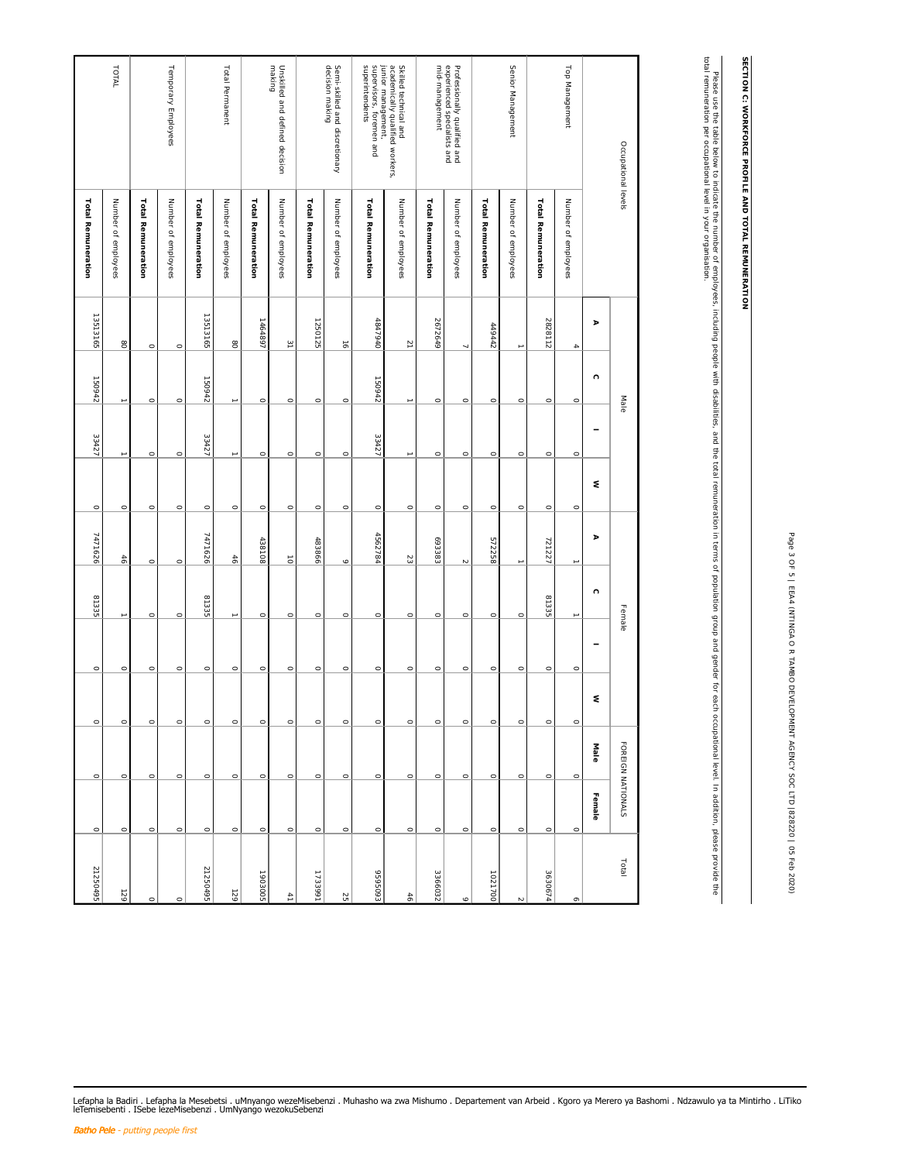| J<br>j<br>l      |  |
|------------------|--|
| ١<br>Ï           |  |
| I                |  |
| I<br>J<br>٦      |  |
| ċ<br>۱           |  |
| I<br>۱           |  |
| Ì<br>٦           |  |
| ֡֡֡֡֡֡֡֡<br>ł    |  |
| í                |  |
| ļ                |  |
| ļ<br>J           |  |
| J<br>ł           |  |
|                  |  |
| j                |  |
| ¢<br>)<br>I<br>J |  |
| Ì<br>٦           |  |
| 1<br>I<br>Ì      |  |
| j<br>١<br>J      |  |
| l<br>1           |  |
| ֚                |  |
| I<br>١           |  |
| I<br>1           |  |
| l                |  |
| ţ<br>١           |  |
| ¢<br>ţ           |  |
| I<br>۱           |  |
| J<br>I           |  |
| Ì<br>١<br>I<br>١ |  |
| í<br>١<br>ś      |  |
| Ï<br>¢<br>١      |  |
| ¢<br>í           |  |
| j<br>١           |  |
| ٦<br>ć<br>i      |  |
| Ï<br>١<br>ï<br>١ |  |
| I<br>j<br>ï<br>١ |  |
|                  |  |
|                  |  |

SECTION C: WORKFORCE PROFILE AND TOTAL REMUNERATION **SECTION C: WORKFORCE PROFILE AND TOTAL REMUNERATION**

Please use the table below to indicate the number of employees, including people with disabilities, and the total remuneration in terms of population group and gender for each occupational level. In addition, please provid total remuneration per occupational level in your organisation. Please use the table below to amployees, including people with disabilities, and the total coulding groups in terms of population in terms of population, along the couplation groups in terms of population in terms of popul

| Occupational levels                                                                                                |                           |                          | Male       |                          |            |           | Female     |         |         | FOREIGN NATIONALS |         | Total          |
|--------------------------------------------------------------------------------------------------------------------|---------------------------|--------------------------|------------|--------------------------|------------|-----------|------------|---------|---------|-------------------|---------|----------------|
|                                                                                                                    |                           | $\,$                     | $\bigcirc$ | $\overline{\phantom{0}}$ | $\lesssim$ | $\,$      | $\bigcirc$ |         | $\leq$  | Male              | Female  |                |
| Top Management                                                                                                     | Number of employees       | $\Delta$                 | $\circ$    | $\circ$                  | $\circ$    |           |            | $\circ$ | $\circ$ | $\circ$           | $\circ$ | $\circ$        |
|                                                                                                                    | <b>Total Remuneration</b> | 2828112                  | $\circ$    | $\circ$                  | $\circ$    | 721227    | 81335      | $\circ$ | $\circ$ | $\circ$           | $\circ$ | 3630674        |
| Senior Management                                                                                                  | Number of employees       |                          | $\circ$    | $\circ$                  | $\circ$    |           | $\circ$    | $\circ$ | $\circ$ | $\circ$           | $\circ$ |                |
|                                                                                                                    | Total Remuneration        | 449442                   | $\circ$    | $\circ$                  | $\circ$    | 572258    | $\circ$    | $\circ$ | $\circ$ | $\circ$           | $\circ$ | 1021700        |
| Professionally qualified and<br>experienced specialists and                                                        | Number of employees       | Ñ                        | $\circ$    | $\circ$                  | $\circ$    | $\sim$    | $\circ$    | $\circ$ | $\circ$ | $\circ$           | $\circ$ | ۰o             |
| mid-management                                                                                                     | Total Remuneration        | 2672649                  | $\circ$    | $\circ$                  | $\circ$    | 693383    | $\circ$    | $\circ$ | $\circ$ | $\circ$           | $\circ$ | 3366032        |
|                                                                                                                    | Number of employees       | $\overline{\phantom{a}}$ | L.         |                          | $\circ$    | $23\,$    | $\circ$    | $\circ$ | $\circ$ | $\circ$           | $\circ$ | $46\,$         |
| Skilled technical and<br>profer mically qualified workers,<br>junder mically qualified workers,<br>superintendents | <b>Total Remuneration</b> | 4847940                  | 150942     | 33427                    | $\circ$    | 4562784   | $\circ$    | $\circ$ | $\circ$ | $\circ$           | $\circ$ | £609693        |
| Semi-skilled and discretionary<br>decision making                                                                  | Number of employees       | $\vec{\sigma}$           | $\circ$    | $\circ$                  | $\circ$    | $\circ$   | $\circ$    | $\circ$ | $\circ$ | $\circ$           | $\circ$ | S              |
|                                                                                                                    | Total Remuneration        | 1250125                  | $\circ$    | $\circ$                  | $\circ$    | 483866    | $\circ$    | $\circ$ | $\circ$ | $\circ$           | $\circ$ | 1733991        |
| Unskilled and defined decision<br>making                                                                           | Number of employees       | $\overline{\Xi}$         | $\circ$    | $\circ$                  | $\circ$    | $\vec{o}$ | $\circ$    | $\circ$ | $\circ$ | $\circ$           | $\circ$ | $\overline{a}$ |
|                                                                                                                    | Total Remuneration        | 1464897                  | $\circ$    | $\circ$                  | $\circ$    | 438108    | $\circ$    | $\circ$ | $\circ$ | $\circ$           | $\circ$ | 1903005        |
| Total Permanent                                                                                                    | Number of employees       | $_{\rm g}$               | →          |                          | $\circ$    | 46        |            | $\circ$ | $\circ$ | $\circ$           | $\circ$ | 129            |
|                                                                                                                    | <b>Total Remuneration</b> | 13513165                 | 150942     | 33427                    | $\circ$    | 7471626   | 81335      | $\circ$ | $\circ$ | $\circ$           | $\circ$ | 21250495       |
| Temporary Employees                                                                                                | Number of employees       | $\circ$                  | $\circ$    | $\circ$                  | $\circ$    | $\circ$   | $\circ$    | $\circ$ | $\circ$ | $\circ$           | $\circ$ | $\circ$        |
|                                                                                                                    | Total Remuneration        | $\circ$                  | $\circ$    | $\circ$                  | $\circ$    | $\circ$   | $\circ$    | $\circ$ | $\circ$ | $\circ$           | $\circ$ | $\circ$        |
| TOTAL                                                                                                              | Number of employees       | $_{\rm g}$               |            |                          | $\circ$    | 46        |            | $\circ$ | $\circ$ | $\circ$           | $\circ$ | 129            |
|                                                                                                                    | Total Remuneration        | 13513165                 | 150942     | 33427                    | $\circ$    | 7471626   | 81335      | $\circ$ | $\circ$ | $\circ$           | $\circ$ | 21250495       |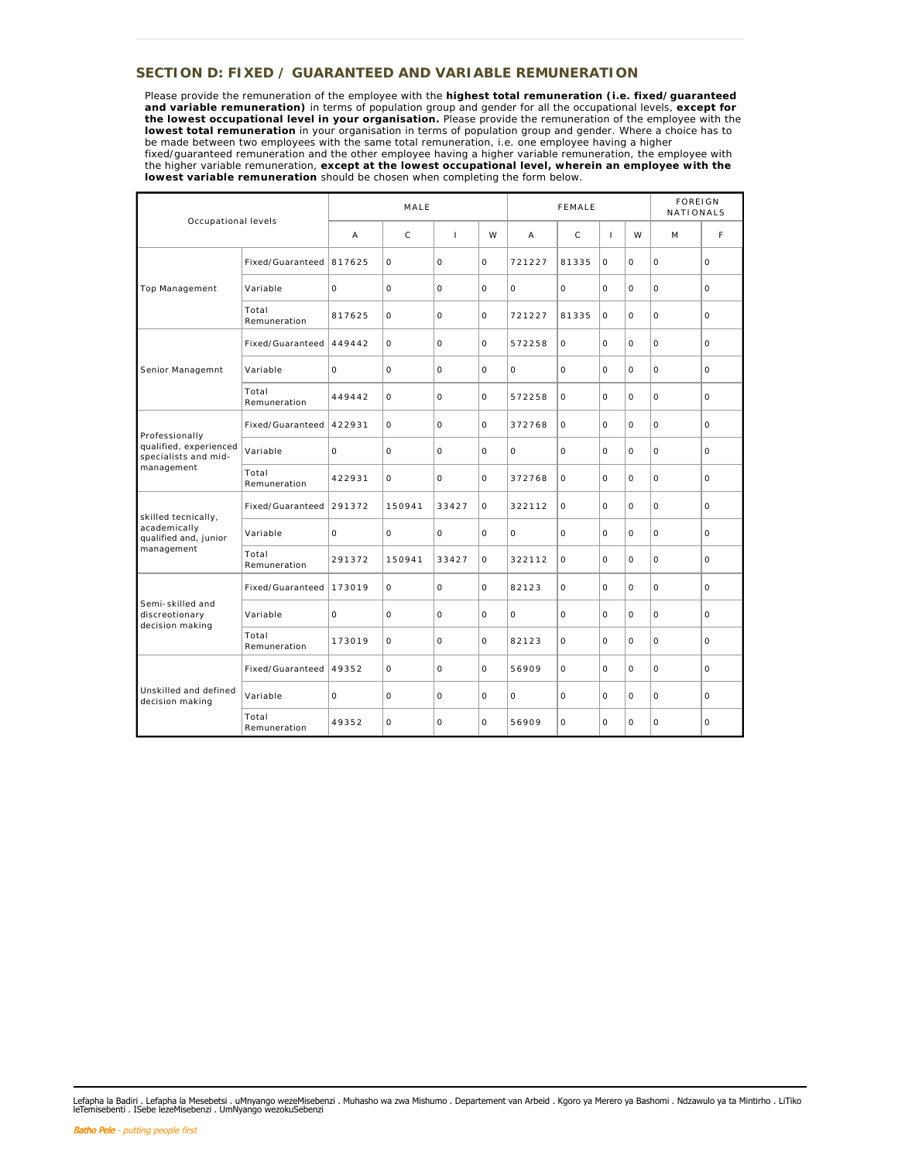## **SECTION D: FIXED / GUARANTEED AND VARIABLE REMUNERATION**

Please provide the remuneration of the employee with the **highest total remuneration (i.e. fixed/guaranteed and variable remuneration)** in terms of population group and gender for all the occupational levels, **except for the lowest occupational level in your organisation.** Please provide the remuneration of the employee with the **lowest total remuneration** in your organisation in terms of population group and gender. Where a choice has to be made between two employees with the same total remuneration, i.e. one employee having a higher fixed/guaranteed remuneration and the other employee having a higher variable remuneration, the employee with the higher variable remuneration, **except at the lowest occupational level, wherein an employee with the lowest variable remuneration** should be chosen when completing the form below.

| Occupational levels                                   |                         | MALE     |              |              | FEMALE   |          |          |                | <b>FOREIGN</b><br>NATIONALS |          |          |
|-------------------------------------------------------|-------------------------|----------|--------------|--------------|----------|----------|----------|----------------|-----------------------------|----------|----------|
|                                                       |                         | A        | $\mathsf{C}$ | $\mathbf{I}$ | W        | A        | C        | $\overline{1}$ | W                           | M        | F        |
|                                                       | Fixed/Guaranteed 817625 |          | $\circ$      | $\Omega$     | 0        | 721227   | 81335    | $\Omega$       | $\circ$                     | $\circ$  | $\Omega$ |
| Top Management                                        | Variable                | $\Omega$ | $\circ$      | $\Omega$     | $\Omega$ | $\Omega$ | $\circ$  | $\Omega$       | $\Omega$                    | $\circ$  | $\Omega$ |
|                                                       | Total<br>Remuneration   | 817625   | $\circ$      | O            | $\circ$  | 721227   | 81335    | $\Omega$       | $\Omega$                    | $\circ$  | O        |
|                                                       | Fixed/Guaranteed        | 449442   | $\circ$      | $\circ$      | $\circ$  | 572258   | $\circ$  | $\Omega$       | $\circ$                     | $\circ$  | O        |
| Senior Managemnt                                      | Variable                | $\circ$  | $\circ$      | $\circ$      | $\circ$  | $\circ$  | $\circ$  | $\Omega$       | $\circ$                     | $\circ$  | O        |
|                                                       | Total<br>Remuneration   | 449442   | $\circ$      | O            | $\circ$  | 572258   | $\circ$  | $\Omega$       | O                           | $\circ$  | O        |
| Professionally                                        | Fixed/Guaranteed        | 422931   | $\circ$      | $\circ$      | $\circ$  | 372768   | $\circ$  | $\Omega$       | $\Omega$                    | $\circ$  | $\circ$  |
| qualified, experienced<br>specialists and mid-        | Variable                | $\Omega$ | 0            | $\Omega$     | $\Omega$ | $\Omega$ | $\Omega$ | $\Omega$       | $\circ$                     | $\circ$  | $\Omega$ |
| management                                            | Total<br>Remuneration   | 422931   | $\Omega$     | $\Omega$     | $\Omega$ | 372768   | $\circ$  | $\Omega$       | $\Omega$                    | $\circ$  | $\Omega$ |
| skilled tecnically,                                   | Fixed/Guaranteed        | 291372   | 150941       | 33427        | 0        | 322112   | 0        | $\Omega$       | $\Omega$                    | $\circ$  | $\Omega$ |
| academically<br>qualified and, junior                 | Variable                | $\Omega$ | $\circ$      | $\Omega$     | $\Omega$ | $\Omega$ | $\Omega$ | $\Omega$       | $\Omega$                    | $\Omega$ | $\Omega$ |
| management                                            | Total<br>Remuneration   | 291372   | 150941       | 33427        | 0        | 322112   | 0        | $\Omega$       | O                           | $\circ$  | O        |
|                                                       | Fixed/Guaranteed        | 173019   | $\circ$      | $\circ$      | $\circ$  | 82123    | $\circ$  | $\Omega$       | O                           | $\circ$  | $\circ$  |
| Semi-skilled and<br>discreotionary<br>decision making | Variable                | $\circ$  | $\circ$      | O            | $\circ$  | $\circ$  | $\circ$  | $\Omega$       | $\circ$                     | $\circ$  | O        |
|                                                       | Total<br>Remuneration   | 173019   | 0            | $\circ$      | $\circ$  | 82123    | 0        | $\Omega$       | $\circ$                     | $\circ$  | O        |
|                                                       | Fixed/Guaranteed        | 49352    | $\circ$      | $\Omega$     | $\circ$  | 56909    | $\circ$  | $\Omega$       | $\circ$                     | $\circ$  | $\circ$  |
| Unskilled and defined<br>decision making              | Variable                | $\Omega$ | $\circ$      | $\Omega$     | $\Omega$ | $\Omega$ | $\Omega$ | $\Omega$       | $\Omega$                    | $\circ$  | $\Omega$ |
|                                                       | Total<br>Remuneration   | 49352    | $\Omega$     | $\Omega$     | $\Omega$ | 56909    | $\Omega$ | $\Omega$       | $\Omega$                    | $\circ$  | $\Omega$ |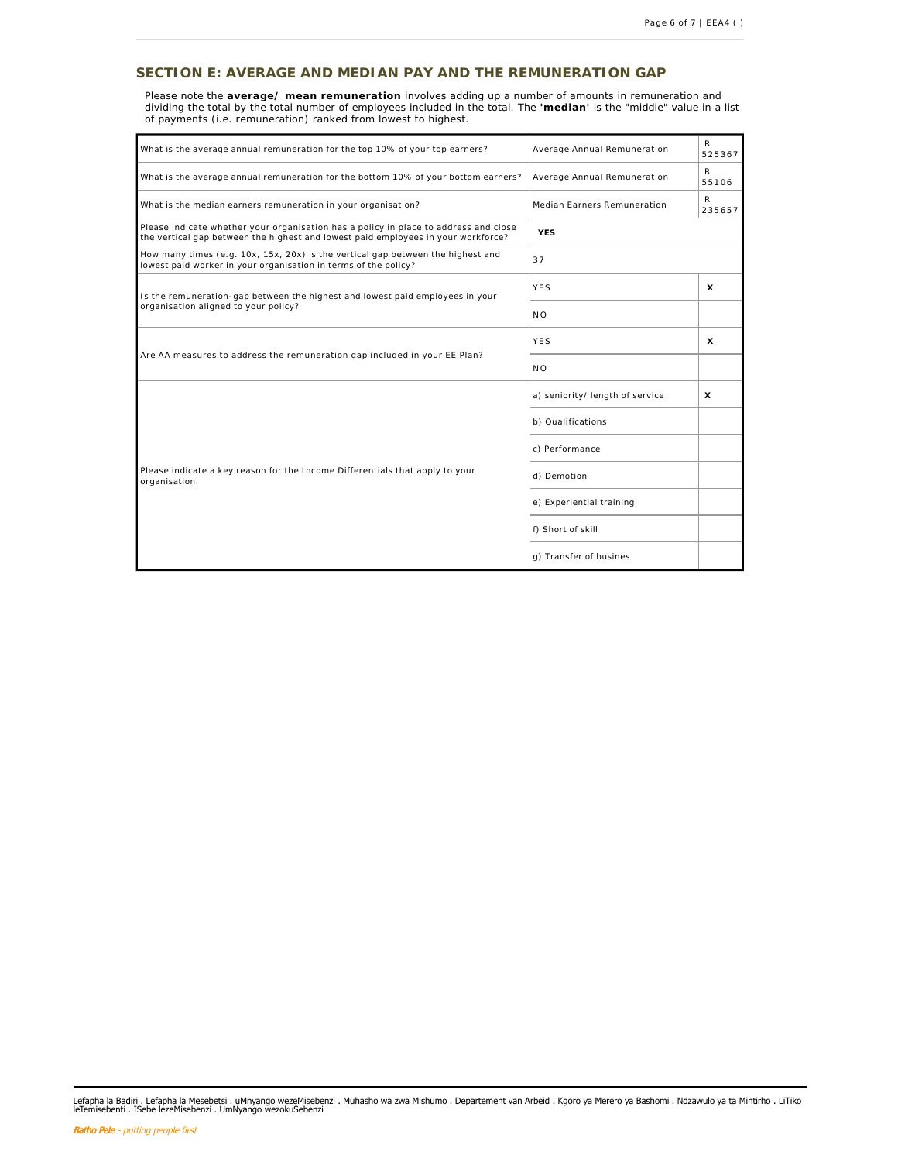## **SECTION E: AVERAGE AND MEDIAN PAY AND THE REMUNERATION GAP**

Please note the average/ mean remuneration involves adding up a number of amounts in remuneration and<br>dividing the total by the total number of employees included in the total. The 'median' is the "middle" value in a list of payments (i.e. remuneration) ranked from lowest to highest.

| What is the average annual remuneration for the top 10% of your top earners?                                                                                              | Average Annual Remuneration                | R<br>525367 |  |  |  |
|---------------------------------------------------------------------------------------------------------------------------------------------------------------------------|--------------------------------------------|-------------|--|--|--|
| What is the average annual remuneration for the bottom 10% of your bottom earners?                                                                                        | Average Annual Remuneration                | R<br>55106  |  |  |  |
| What is the median earners remuneration in your organisation?                                                                                                             | R<br>Median Earners Remuneration<br>235657 |             |  |  |  |
| Please indicate whether your organisation has a policy in place to address and close<br>the vertical gap between the highest and lowest paid employees in your workforce? | <b>YES</b>                                 |             |  |  |  |
| How many times (e.g. 10x, 15x, 20x) is the vertical gap between the highest and<br>lowest paid worker in your organisation in terms of the policy?                        | 37                                         |             |  |  |  |
| Is the remuneration-gap between the highest and lowest paid employees in your                                                                                             | YES                                        | $\times$    |  |  |  |
| organisation aligned to your policy?                                                                                                                                      | N <sub>O</sub>                             |             |  |  |  |
|                                                                                                                                                                           | YES                                        | $\times$    |  |  |  |
| Are AA measures to address the remuneration gap included in your EE Plan?                                                                                                 | N O                                        |             |  |  |  |
|                                                                                                                                                                           | a) seniority/ length of service            | $\times$    |  |  |  |
|                                                                                                                                                                           | b) Qualifications                          |             |  |  |  |
|                                                                                                                                                                           | c) Performance                             |             |  |  |  |
| Please indicate a key reason for the Income Differentials that apply to your<br>organisation.                                                                             | d) Demotion                                |             |  |  |  |
|                                                                                                                                                                           | e) Experiential training                   |             |  |  |  |
|                                                                                                                                                                           | f) Short of skill                          |             |  |  |  |
|                                                                                                                                                                           | g) Transfer of busines                     |             |  |  |  |